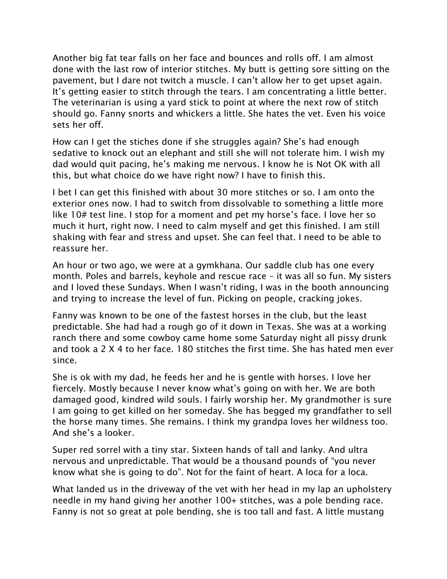Another big fat tear falls on her face and bounces and rolls off. I am almost done with the last row of interior stitches. My butt is getting sore sitting on the pavement, but I dare not twitch a muscle. I can't allow her to get upset again. It's getting easier to stitch through the tears. I am concentrating a little better. The veterinarian is using a yard stick to point at where the next row of stitch should go. Fanny snorts and whickers a little. She hates the vet. Even his voice sets her off.

How can I get the stiches done if she struggles again? She's had enough sedative to knock out an elephant and still she will not tolerate him. I wish my dad would quit pacing, he's making me nervous. I know he is Not OK with all this, but what choice do we have right now? I have to finish this.

I bet I can get this finished with about 30 more stitches or so. I am onto the exterior ones now. I had to switch from dissolvable to something a little more like 10# test line. I stop for a moment and pet my horse's face. I love her so much it hurt, right now. I need to calm myself and get this finished. I am still shaking with fear and stress and upset. She can feel that. I need to be able to reassure her.

An hour or two ago, we were at a gymkhana. Our saddle club has one every month. Poles and barrels, keyhole and rescue race – it was all so fun. My sisters and I loved these Sundays. When I wasn't riding, I was in the booth announcing and trying to increase the level of fun. Picking on people, cracking jokes.

Fanny was known to be one of the fastest horses in the club, but the least predictable. She had had a rough go of it down in Texas. She was at a working ranch there and some cowboy came home some Saturday night all pissy drunk and took a 2 X 4 to her face. 180 stitches the first time. She has hated men ever since.

She is ok with my dad, he feeds her and he is gentle with horses. I love her fiercely. Mostly because I never know what's going on with her. We are both damaged good, kindred wild souls. I fairly worship her. My grandmother is sure I am going to get killed on her someday. She has begged my grandfather to sell the horse many times. She remains. I think my grandpa loves her wildness too. And she's a looker.

Super red sorrel with a tiny star. Sixteen hands of tall and lanky. And ultra nervous and unpredictable. That would be a thousand pounds of "you never know what she is going to do". Not for the faint of heart. A loca for a loca.

What landed us in the driveway of the vet with her head in my lap an upholstery needle in my hand giving her another 100+ stitches, was a pole bending race. Fanny is not so great at pole bending, she is too tall and fast. A little mustang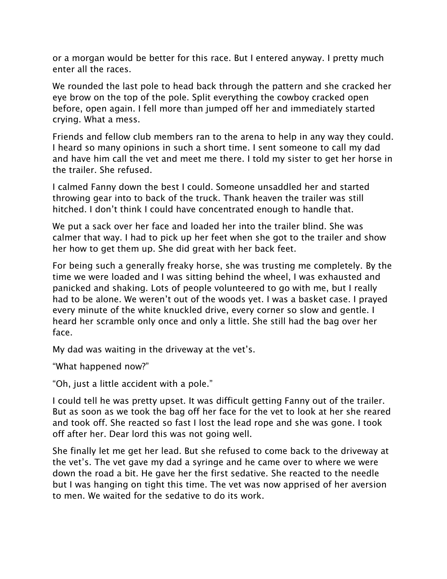or a morgan would be better for this race. But I entered anyway. I pretty much enter all the races.

We rounded the last pole to head back through the pattern and she cracked her eye brow on the top of the pole. Split everything the cowboy cracked open before, open again. I fell more than jumped off her and immediately started crying. What a mess.

Friends and fellow club members ran to the arena to help in any way they could. I heard so many opinions in such a short time. I sent someone to call my dad and have him call the vet and meet me there. I told my sister to get her horse in the trailer. She refused.

I calmed Fanny down the best I could. Someone unsaddled her and started throwing gear into to back of the truck. Thank heaven the trailer was still hitched. I don't think I could have concentrated enough to handle that.

We put a sack over her face and loaded her into the trailer blind. She was calmer that way. I had to pick up her feet when she got to the trailer and show her how to get them up. She did great with her back feet.

For being such a generally freaky horse, she was trusting me completely. By the time we were loaded and I was sitting behind the wheel, I was exhausted and panicked and shaking. Lots of people volunteered to go with me, but I really had to be alone. We weren't out of the woods yet. I was a basket case. I prayed every minute of the white knuckled drive, every corner so slow and gentle. I heard her scramble only once and only a little. She still had the bag over her face.

My dad was waiting in the driveway at the vet's.

"What happened now?"

"Oh, just a little accident with a pole."

I could tell he was pretty upset. It was difficult getting Fanny out of the trailer. But as soon as we took the bag off her face for the vet to look at her she reared and took off. She reacted so fast I lost the lead rope and she was gone. I took off after her. Dear lord this was not going well.

She finally let me get her lead. But she refused to come back to the driveway at the vet's. The vet gave my dad a syringe and he came over to where we were down the road a bit. He gave her the first sedative. She reacted to the needle but I was hanging on tight this time. The vet was now apprised of her aversion to men. We waited for the sedative to do its work.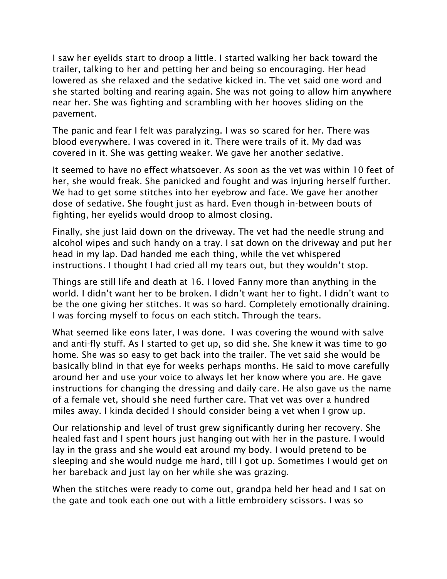I saw her eyelids start to droop a little. I started walking her back toward the trailer, talking to her and petting her and being so encouraging. Her head lowered as she relaxed and the sedative kicked in. The vet said one word and she started bolting and rearing again. She was not going to allow him anywhere near her. She was fighting and scrambling with her hooves sliding on the pavement.

The panic and fear I felt was paralyzing. I was so scared for her. There was blood everywhere. I was covered in it. There were trails of it. My dad was covered in it. She was getting weaker. We gave her another sedative.

It seemed to have no effect whatsoever. As soon as the vet was within 10 feet of her, she would freak. She panicked and fought and was injuring herself further. We had to get some stitches into her eyebrow and face. We gave her another dose of sedative. She fought just as hard. Even though in-between bouts of fighting, her eyelids would droop to almost closing.

Finally, she just laid down on the driveway. The vet had the needle strung and alcohol wipes and such handy on a tray. I sat down on the driveway and put her head in my lap. Dad handed me each thing, while the vet whispered instructions. I thought I had cried all my tears out, but they wouldn't stop.

Things are still life and death at 16. I loved Fanny more than anything in the world. I didn't want her to be broken. I didn't want her to fight. I didn't want to be the one giving her stitches. It was so hard. Completely emotionally draining. I was forcing myself to focus on each stitch. Through the tears.

What seemed like eons later, I was done. I was covering the wound with salve and anti-fly stuff. As I started to get up, so did she. She knew it was time to go home. She was so easy to get back into the trailer. The vet said she would be basically blind in that eye for weeks perhaps months. He said to move carefully around her and use your voice to always let her know where you are. He gave instructions for changing the dressing and daily care. He also gave us the name of a female vet, should she need further care. That vet was over a hundred miles away. I kinda decided I should consider being a vet when I grow up.

Our relationship and level of trust grew significantly during her recovery. She healed fast and I spent hours just hanging out with her in the pasture. I would lay in the grass and she would eat around my body. I would pretend to be sleeping and she would nudge me hard, till I got up. Sometimes I would get on her bareback and just lay on her while she was grazing.

When the stitches were ready to come out, grandpa held her head and I sat on the gate and took each one out with a little embroidery scissors. I was so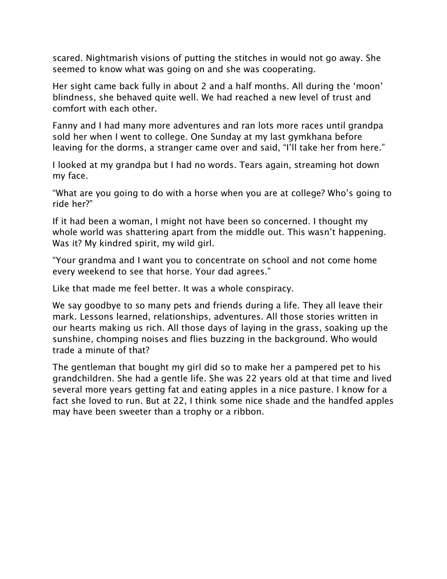scared. Nightmarish visions of putting the stitches in would not go away. She seemed to know what was going on and she was cooperating.

Her sight came back fully in about 2 and a half months. All during the 'moon' blindness, she behaved quite well. We had reached a new level of trust and comfort with each other.

Fanny and I had many more adventures and ran lots more races until grandpa sold her when I went to college. One Sunday at my last gymkhana before leaving for the dorms, a stranger came over and said, "I'll take her from here."

I looked at my grandpa but I had no words. Tears again, streaming hot down my face.

"What are you going to do with a horse when you are at college? Who's going to ride her?"

If it had been a woman, I might not have been so concerned. I thought my whole world was shattering apart from the middle out. This wasn't happening. Was it? My kindred spirit, my wild girl.

"Your grandma and I want you to concentrate on school and not come home every weekend to see that horse. Your dad agrees."

Like that made me feel better. It was a whole conspiracy.

We say goodbye to so many pets and friends during a life. They all leave their mark. Lessons learned, relationships, adventures. All those stories written in our hearts making us rich. All those days of laying in the grass, soaking up the sunshine, chomping noises and flies buzzing in the background. Who would trade a minute of that?

The gentleman that bought my girl did so to make her a pampered pet to his grandchildren. She had a gentle life. She was 22 years old at that time and lived several more years getting fat and eating apples in a nice pasture. I know for a fact she loved to run. But at 22, I think some nice shade and the handfed apples may have been sweeter than a trophy or a ribbon.